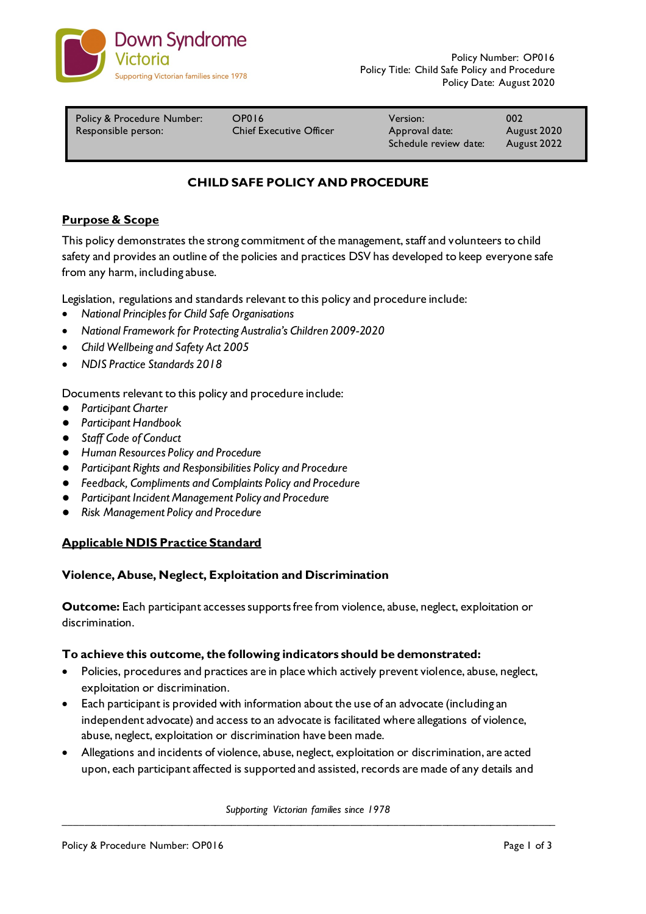

| Policy & Procedure Number: | OP016                          | Version:                                | 002                        |
|----------------------------|--------------------------------|-----------------------------------------|----------------------------|
| Responsible person:        | <b>Chief Executive Officer</b> | Approval date:<br>Schedule review date: | August 2020<br>August 2022 |

# **CHILD SAFE POLICY AND PROCEDURE**

### **Purpose & Scope**

This policy demonstrates the strong commitment of the management, staff and volunteers to child safety and provides an outline of the policies and practices DSV has developed to keep everyone safe from any harm, including abuse.

Legislation, regulations and standards relevant to this policy and procedure include:

- *National Principles for Child Safe Organisations*
- *National Framework for Protecting Australia's Children 2009-2020*
- *Child Wellbeing and Safety Act 2005*
- *NDIS Practice Standards 2018*

Documents relevant to this policy and procedure include:

- *Participant Charter*
- *Participant Handbook*
- *Staff Code of Conduct*
- *Human Resources Policy and Procedure*
- *Participant Rights and Responsibilities Policy and Procedure*
- *Feedback, Compliments and Complaints Policy and Procedure*
- *Participant Incident Management Policy and Procedure*
- *Risk Management Policy and Procedure*

#### **Applicable NDIS Practice Standard**

#### **Violence, Abuse, Neglect, Exploitation and Discrimination**

**Outcome:** Each participant accesses supports free from violence, abuse, neglect, exploitation or discrimination.

#### **To achieve this outcome, the following indicators should be demonstrated:**

- Policies, procedures and practices are in place which actively prevent violence, abuse, neglect, exploitation or discrimination.
- Each participant is provided with information about the use of an advocate (including an independent advocate) and access to an advocate is facilitated where allegations of violence, abuse, neglect, exploitation or discrimination have been made.
- Allegations and incidents of violence, abuse, neglect, exploitation or discrimination, are acted upon, each participant affected is supported and assisted, records are made of any details and

*Supporting Victorian families since 1978*  $\mathcal{L}_\mathcal{L} = \{ \mathcal{L}_\mathcal{L} = \{ \mathcal{L}_\mathcal{L} = \{ \mathcal{L}_\mathcal{L} = \{ \mathcal{L}_\mathcal{L} = \{ \mathcal{L}_\mathcal{L} = \{ \mathcal{L}_\mathcal{L} = \{ \mathcal{L}_\mathcal{L} = \{ \mathcal{L}_\mathcal{L} = \{ \mathcal{L}_\mathcal{L} = \{ \mathcal{L}_\mathcal{L} = \{ \mathcal{L}_\mathcal{L} = \{ \mathcal{L}_\mathcal{L} = \{ \mathcal{L}_\mathcal{L} = \{ \mathcal{L}_\mathcal{$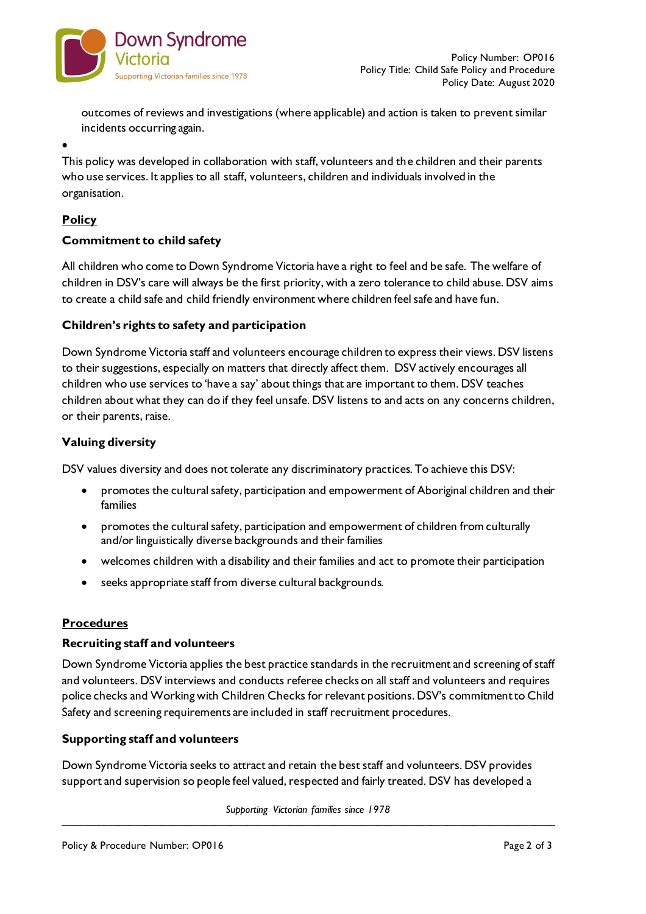

outcomes of reviews and investigations (where applicable) and action is taken to prevent similar incidents occurring again.

• This policy was developed in collaboration with staff, volunteers and the children and their parents who use services. It applies to all staff, volunteers, children and individuals involved in the organisation.

# **Policy**

## **Commitment to child safety**

All children who come to Down Syndrome Victoria have a right to feel and be safe. The welfare of children in DSV's care will always be the first priority, with a zero tolerance to child abuse. DSV aims to create a child safe and child friendly environment where children feel safe and have fun.

## **Children's rights to safety and participation**

Down Syndrome Victoria staff and volunteers encourage children to express their views. DSV listens to their suggestions, especially on matters that directly affect them. DSV actively encourages all children who use services to 'have a say' about things that are important to them. DSV teaches children about what they can do if they feel unsafe. DSV listens to and acts on any concerns children, or their parents, raise.

## **Valuing diversity**

DSV values diversity and does not tolerate any discriminatory practices. To achieve this DSV:

- promotes the cultural safety, participation and empowerment of Aboriginal children and their families
- promotes the cultural safety, participation and empowerment of children from culturally and/or linguistically diverse backgrounds and their families
- welcomes children with a disability and their families and act to promote their participation
- seeks appropriate staff from diverse cultural backgrounds.

## **Procedures**

#### **Recruiting staff and volunteers**

Down Syndrome Victoria applies the best practice standards in the recruitment and screening of staff and volunteers. DSV interviews and conducts referee checks on all staff and volunteers and requires police checks and Working with Children Checks for relevant positions. DSV's commitment to Child Safety and screening requirements are included in staff recruitment procedures.

#### **Supporting staff and volunteers**

Down Syndrome Victoria seeks to attract and retain the best staff and volunteers. DSV provides support and supervision so people feel valued, respected and fairly treated. DSV has developed a

*Supporting Victorian families since 1978*  $\mathcal{L}_\mathcal{L} = \{ \mathcal{L}_\mathcal{L} = \{ \mathcal{L}_\mathcal{L} = \{ \mathcal{L}_\mathcal{L} = \{ \mathcal{L}_\mathcal{L} = \{ \mathcal{L}_\mathcal{L} = \{ \mathcal{L}_\mathcal{L} = \{ \mathcal{L}_\mathcal{L} = \{ \mathcal{L}_\mathcal{L} = \{ \mathcal{L}_\mathcal{L} = \{ \mathcal{L}_\mathcal{L} = \{ \mathcal{L}_\mathcal{L} = \{ \mathcal{L}_\mathcal{L} = \{ \mathcal{L}_\mathcal{L} = \{ \mathcal{L}_\mathcal{$